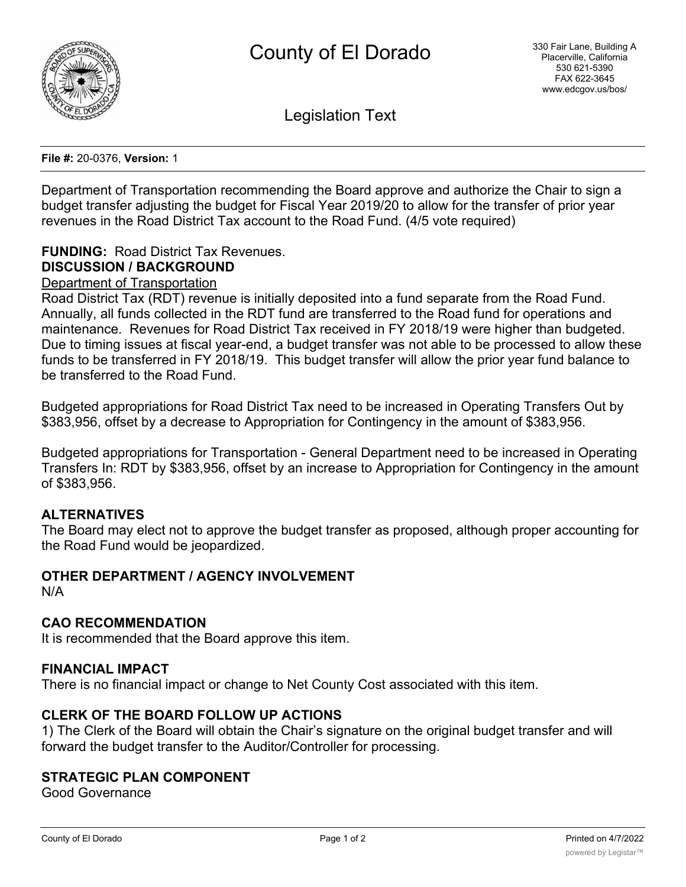

Legislation Text

**File #:** 20-0376, **Version:** 1

Department of Transportation recommending the Board approve and authorize the Chair to sign a budget transfer adjusting the budget for Fiscal Year 2019/20 to allow for the transfer of prior year revenues in the Road District Tax account to the Road Fund. (4/5 vote required)

# **FUNDING:** Road District Tax Revenues. **DISCUSSION / BACKGROUND**

### Department of Transportation

Road District Tax (RDT) revenue is initially deposited into a fund separate from the Road Fund. Annually, all funds collected in the RDT fund are transferred to the Road fund for operations and maintenance. Revenues for Road District Tax received in FY 2018/19 were higher than budgeted. Due to timing issues at fiscal year-end, a budget transfer was not able to be processed to allow these funds to be transferred in FY 2018/19. This budget transfer will allow the prior year fund balance to be transferred to the Road Fund.

Budgeted appropriations for Road District Tax need to be increased in Operating Transfers Out by \$383,956, offset by a decrease to Appropriation for Contingency in the amount of \$383,956.

Budgeted appropriations for Transportation - General Department need to be increased in Operating Transfers In: RDT by \$383,956, offset by an increase to Appropriation for Contingency in the amount of \$383,956.

#### **ALTERNATIVES**

The Board may elect not to approve the budget transfer as proposed, although proper accounting for the Road Fund would be jeopardized.

# **OTHER DEPARTMENT / AGENCY INVOLVEMENT**

N/A

#### **CAO RECOMMENDATION**

It is recommended that the Board approve this item.

#### **FINANCIAL IMPACT**

There is no financial impact or change to Net County Cost associated with this item.

#### **CLERK OF THE BOARD FOLLOW UP ACTIONS**

1) The Clerk of the Board will obtain the Chair's signature on the original budget transfer and will forward the budget transfer to the Auditor/Controller for processing.

#### **STRATEGIC PLAN COMPONENT**

Good Governance